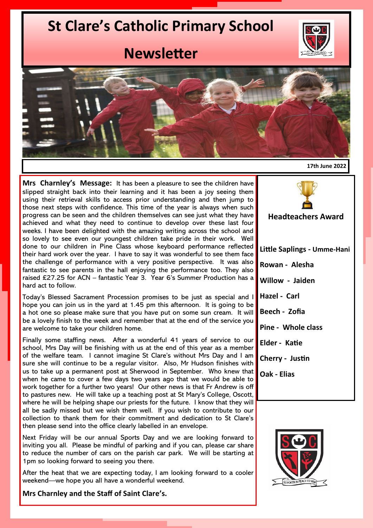## **St Clare's Catholic Primary School**



## **Newsletter**



**17th June 2022**

**Mrs Charnley's Message:** It has been a pleasure to see the children have slipped straight back into their learning and it has been a joy seeing them using their retrieval skills to access prior understanding and then jump to those next steps with confidence. This time of the year is always when such progress can be seen and the children themselves can see just what they have achieved and what they need to continue to develop over these last four weeks. I have been delighted with the amazing writing across the school and so lovely to see even our youngest children take pride in their work. Well done to our children in Pine Class whose keyboard performance reflected their hard work over the year. I have to say it was wonderful to see them face the challenge of performance with a very positive perspective. It was also fantastic to see parents in the hall enjoying the performance too. They also raised £27.25 for ACN – fantastic Year 3. Year 6's Summer Production has a hard act to follow.

Today's Blessed Sacrament Procession promises to be just as special and I hope you can join us in the yard at 1.45 pm this afternoon. It is going to be a hot one so please make sure that you have put on some sun cream. It will be a lovely finish to the week and remember that at the end of the service you are welcome to take your children home.

Finally some staffing news. After a wonderful 41 years of service to our school, Mrs Day will be finishing with us at the end of this year as a member of the welfare team. I cannot imagine St Clare's without Mrs Day and I am sure she will continue to be a regular visitor. Also, Mr Hudson finishes with us to take up a permanent post at Sherwood in September. Who knew that when he came to cover a few days two years ago that we would be able to work together for a further two years! Our other news is that Fr Andrew is off to pastures new. He will take up a teaching post at St Mary's College, Oscott, where he will be helping shape our priests for the future. I know that they will all be sadly missed but we wish them well. If you wish to contribute to our collection to thank them for their commitment and dedication to St Clare's then please send into the office clearly labelled in an envelope.

Next Friday will be our annual Sports Day and we are looking forward to inviting you all. Please be mindful of parking and if you can, please car share to reduce the number of cars on the parish car park. We will be starting at 1pm so looking forward to seeing you there.

After the heat that we are expecting today, I am looking forward to a cooler weekend—we hope you all have a wonderful weekend.

**Mrs Charnley and the Staff of Saint Clare's.**

**Headteachers Award Little Saplings - Umme-Hani Rowan - Alesha Willow - Jaiden Hazel - Carl Beech - Zofia Pine - Whole class Elder - Katie Cherry - Justin Oak - Elias**